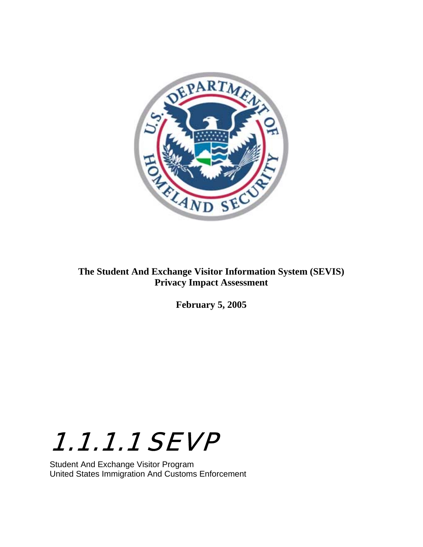

## **The Student And Exchange Visitor Information System (SEVIS) Privacy Impact Assessment**

**February 5, 2005** 



Student And Exchange Visitor Program United States Immigration And Customs Enforcement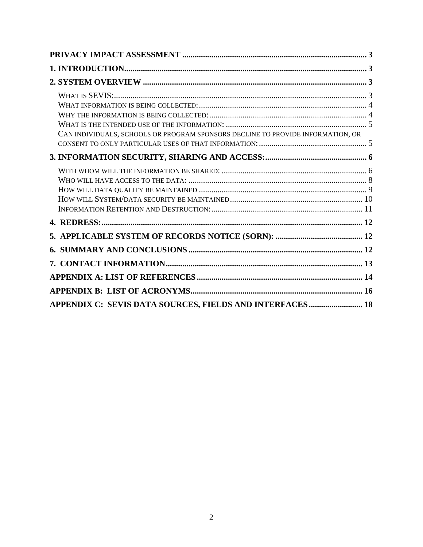| CAN INDIVIDUALS, SCHOOLS OR PROGRAM SPONSORS DECLINE TO PROVIDE INFORMATION, OR |  |
|---------------------------------------------------------------------------------|--|
|                                                                                 |  |
|                                                                                 |  |
|                                                                                 |  |
|                                                                                 |  |
|                                                                                 |  |
|                                                                                 |  |
|                                                                                 |  |
| APPENDIX C: SEVIS DATA SOURCES, FIELDS AND INTERFACES 18                        |  |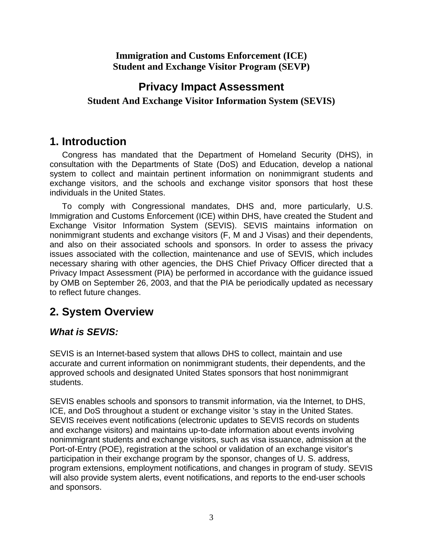### <span id="page-2-0"></span>**Immigration and Customs Enforcement (ICE) Student and Exchange Visitor Program (SEVP)**

## **Privacy Impact Assessment**

### **Student And Exchange Visitor Information System (SEVIS)**

## **1. Introduction**

Congress has mandated that the Department of Homeland Security (DHS), in consultation with the Departments of State (DoS) and Education, develop a national system to collect and maintain pertinent information on nonimmigrant students and exchange visitors, and the schools and exchange visitor sponsors that host these individuals in the United States.

To comply with Congressional mandates, DHS and, more particularly, U.S. Immigration and Customs Enforcement (ICE) within DHS, have created the Student and Exchange Visitor Information System (SEVIS). SEVIS maintains information on nonimmigrant students and exchange visitors (F, M and J Visas) and their dependents, and also on their associated schools and sponsors. In order to assess the privacy issues associated with the collection, maintenance and use of SEVIS, which includes necessary sharing with other agencies, the DHS Chief Privacy Officer directed that a Privacy Impact Assessment (PIA) be performed in accordance with the guidance issued by OMB on September 26, 2003, and that the PIA be periodically updated as necessary to reflect future changes.

## **2. System Overview**

## *What is SEVIS:*

SEVIS is an Internet-based system that allows DHS to collect, maintain and use accurate and current information on nonimmigrant students, their dependents, and the approved schools and designated United States sponsors that host nonimmigrant students.

SEVIS enables schools and sponsors to transmit information, via the Internet, to DHS, ICE, and DoS throughout a student or exchange visitor 's stay in the United States. SEVIS receives event notifications (electronic updates to SEVIS records on students and exchange visitors) and maintains up-to-date information about events involving nonimmigrant students and exchange visitors, such as visa issuance, admission at the Port-of-Entry (POE), registration at the school or validation of an exchange visitor's participation in their exchange program by the sponsor, changes of U. S. address, program extensions, employment notifications, and changes in program of study. SEVIS will also provide system alerts, event notifications, and reports to the end-user schools and sponsors.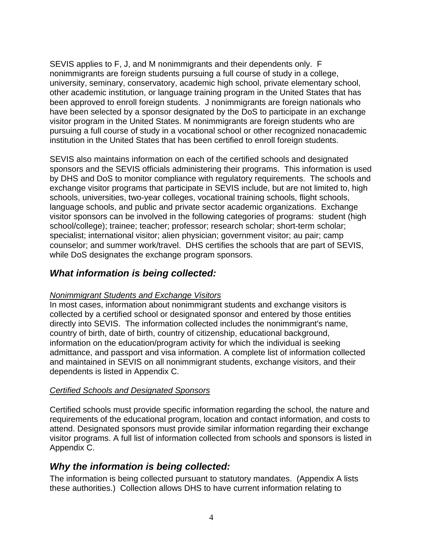<span id="page-3-0"></span>SEVIS applies to F, J, and M nonimmigrants and their dependents only. F nonimmigrants are foreign students pursuing a full course of study in a college, university, seminary, conservatory, academic high school, private elementary school, other academic institution, or language training program in the United States that has been approved to enroll foreign students. J nonimmigrants are foreign nationals who have been selected by a sponsor designated by the DoS to participate in an exchange visitor program in the United States. M nonimmigrants are foreign students who are pursuing a full course of study in a vocational school or other recognized nonacademic institution in the United States that has been certified to enroll foreign students.

SEVIS also maintains information on each of the certified schools and designated sponsors and the SEVIS officials administering their programs. This information is used by DHS and DoS to monitor compliance with regulatory requirements. The schools and exchange visitor programs that participate in SEVIS include, but are not limited to, high schools, universities, two-year colleges, vocational training schools, flight schools, language schools, and public and private sector academic organizations. Exchange visitor sponsors can be involved in the following categories of programs: student (high school/college); trainee; teacher; professor; research scholar; short-term scholar; specialist; international visitor; alien physician; government visitor; au pair; camp counselor; and summer work/travel. DHS certifies the schools that are part of SEVIS, while DoS designates the exchange program sponsors.

## *What information is being collected:*

#### *Nonimmigrant Students and Exchange Visitors*

In most cases, information about nonimmigrant students and exchange visitors is collected by a certified school or designated sponsor and entered by those entities directly into SEVIS. The information collected includes the nonimmigrant's name, country of birth, date of birth, country of citizenship, educational background, information on the education/program activity for which the individual is seeking admittance, and passport and visa information. A complete list of information collected and maintained in SEVIS on all nonimmigrant students, exchange visitors, and their dependents is listed in Appendix C.

#### *Certified Schools and Designated Sponsors*

Certified schools must provide specific information regarding the school, the nature and requirements of the educational program, location and contact information, and costs to attend. Designated sponsors must provide similar information regarding their exchange visitor programs. A full list of information collected from schools and sponsors is listed in Appendix C.

## *Why the information is being collected:*

The information is being collected pursuant to statutory mandates. (Appendix A lists these authorities.) Collection allows DHS to have current information relating to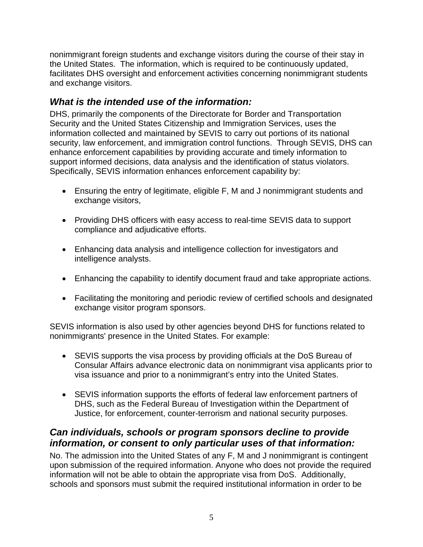<span id="page-4-0"></span>nonimmigrant foreign students and exchange visitors during the course of their stay in the United States. The information, which is required to be continuously updated, facilitates DHS oversight and enforcement activities concerning nonimmigrant students and exchange visitors.

## *What is the intended use of the information:*

DHS, primarily the components of the Directorate for Border and Transportation Security and the United States Citizenship and Immigration Services, uses the information collected and maintained by SEVIS to carry out portions of its national security, law enforcement, and immigration control functions. Through SEVIS, DHS can enhance enforcement capabilities by providing accurate and timely information to support informed decisions, data analysis and the identification of status violators. Specifically, SEVIS information enhances enforcement capability by:

- Ensuring the entry of legitimate, eligible F, M and J nonimmigrant students and exchange visitors,
- Providing DHS officers with easy access to real-time SEVIS data to support compliance and adjudicative efforts.
- Enhancing data analysis and intelligence collection for investigators and intelligence analysts.
- Enhancing the capability to identify document fraud and take appropriate actions.
- Facilitating the monitoring and periodic review of certified schools and designated exchange visitor program sponsors.

SEVIS information is also used by other agencies beyond DHS for functions related to nonimmigrants' presence in the United States. For example:

- SEVIS supports the visa process by providing officials at the DoS Bureau of Consular Affairs advance electronic data on nonimmigrant visa applicants prior to visa issuance and prior to a nonimmigrant's entry into the United States.
- SEVIS information supports the efforts of federal law enforcement partners of DHS, such as the Federal Bureau of Investigation within the Department of Justice, for enforcement, counter-terrorism and national security purposes.

## *Can individuals, schools or program sponsors decline to provide information, or consent to only particular uses of that information:*

No. The admission into the United States of any F, M and J nonimmigrant is contingent upon submission of the required information. Anyone who does not provide the required information will not be able to obtain the appropriate visa from DoS. Additionally, schools and sponsors must submit the required institutional information in order to be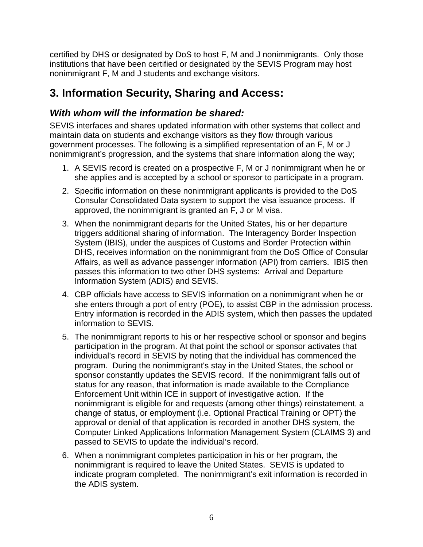<span id="page-5-0"></span>certified by DHS or designated by DoS to host F, M and J nonimmigrants. Only those institutions that have been certified or designated by the SEVIS Program may host nonimmigrant F, M and J students and exchange visitors.

## **3. Information Security, Sharing and Access:**

## *With whom will the information be shared:*

SEVIS interfaces and shares updated information with other systems that collect and maintain data on students and exchange visitors as they flow through various government processes. The following is a simplified representation of an F, M or J nonimmigrant's progression, and the systems that share information along the way;

- 1. A SEVIS record is created on a prospective F, M or J nonimmigrant when he or she applies and is accepted by a school or sponsor to participate in a program.
- 2. Specific information on these nonimmigrant applicants is provided to the DoS Consular Consolidated Data system to support the visa issuance process. If approved, the nonimmigrant is granted an F, J or M visa.
- 3. When the nonimmigrant departs for the United States, his or her departure triggers additional sharing of information. The Interagency Border Inspection System (IBIS), under the auspices of Customs and Border Protection within DHS, receives information on the nonimmigrant from the DoS Office of Consular Affairs, as well as advance passenger information (API) from carriers. IBIS then passes this information to two other DHS systems: Arrival and Departure Information System (ADIS) and SEVIS.
- 4. CBP officials have access to SEVIS information on a nonimmigrant when he or she enters through a port of entry (POE), to assist CBP in the admission process. Entry information is recorded in the ADIS system, which then passes the updated information to SEVIS.
- 5. The nonimmigrant reports to his or her respective school or sponsor and begins participation in the program. At that point the school or sponsor activates that individual's record in SEVIS by noting that the individual has commenced the program. During the nonimmigrant's stay in the United States, the school or sponsor constantly updates the SEVIS record. If the nonimmigrant falls out of status for any reason, that information is made available to the Compliance Enforcement Unit within ICE in support of investigative action. If the nonimmigrant is eligible for and requests (among other things) reinstatement, a change of status, or employment (i.e. Optional Practical Training or OPT) the approval or denial of that application is recorded in another DHS system, the Computer Linked Applications Information Management System (CLAIMS 3) and passed to SEVIS to update the individual's record.
- 6. When a nonimmigrant completes participation in his or her program, the nonimmigrant is required to leave the United States. SEVIS is updated to indicate program completed. The nonimmigrant's exit information is recorded in the ADIS system.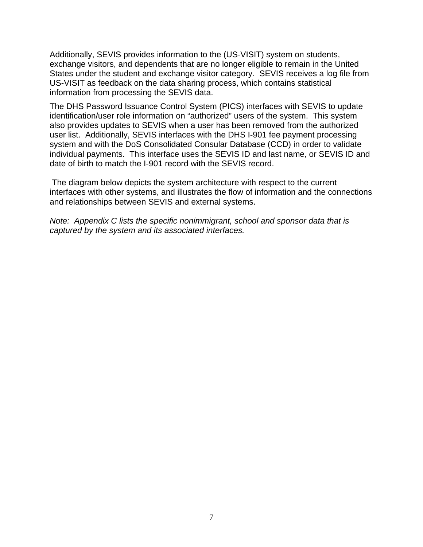Additionally, SEVIS provides information to the (US-VISIT) system on students, exchange visitors, and dependents that are no longer eligible to remain in the United States under the student and exchange visitor category. SEVIS receives a log file from US-VISIT as feedback on the data sharing process, which contains statistical information from processing the SEVIS data.

The DHS Password Issuance Control System (PICS) interfaces with SEVIS to update identification/user role information on "authorized" users of the system. This system also provides updates to SEVIS when a user has been removed from the authorized user list. Additionally, SEVIS interfaces with the DHS I-901 fee payment processing system and with the DoS Consolidated Consular Database (CCD) in order to validate individual payments. This interface uses the SEVIS ID and last name, or SEVIS ID and date of birth to match the I-901 record with the SEVIS record.

 The diagram below depicts the system architecture with respect to the current interfaces with other systems, and illustrates the flow of information and the connections and relationships between SEVIS and external systems.

*Note: Appendix C lists the specific nonimmigrant, school and sponsor data that is captured by the system and its associated interfaces.*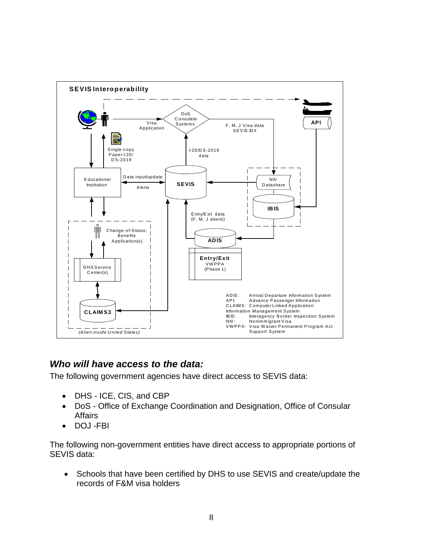<span id="page-7-0"></span>

## *Who will have access to the data:*

The following government agencies have direct access to SEVIS data:

- DHS ICE, CIS, and CBP
- DoS Office of Exchange Coordination and Designation, Office of Consular Affairs
- DOJ -FBI

The following non-government entities have direct access to appropriate portions of SEVIS data:

• Schools that have been certified by DHS to use SEVIS and create/update the records of F&M visa holders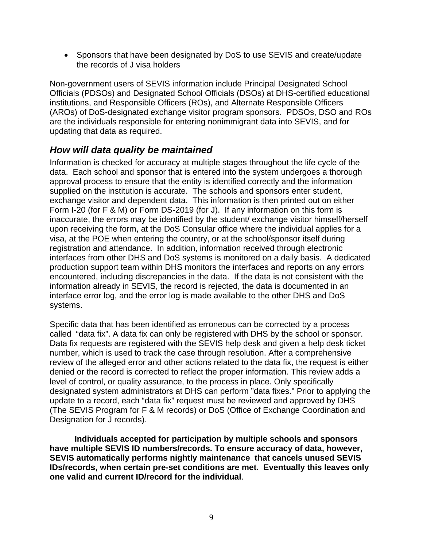<span id="page-8-0"></span>• Sponsors that have been designated by DoS to use SEVIS and create/update the records of J visa holders

Non-government users of SEVIS information include Principal Designated School Officials (PDSOs) and Designated School Officials (DSOs) at DHS-certified educational institutions, and Responsible Officers (ROs), and Alternate Responsible Officers (AROs) of DoS-designated exchange visitor program sponsors. PDSOs, DSO and ROs are the individuals responsible for entering nonimmigrant data into SEVIS, and for updating that data as required.

## *How will data quality be maintained*

Information is checked for accuracy at multiple stages throughout the life cycle of the data. Each school and sponsor that is entered into the system undergoes a thorough approval process to ensure that the entity is identified correctly and the information supplied on the institution is accurate. The schools and sponsors enter student, exchange visitor and dependent data. This information is then printed out on either Form I-20 (for F & M) or Form DS-2019 (for J). If any information on this form is inaccurate, the errors may be identified by the student/ exchange visitor himself/herself upon receiving the form, at the DoS Consular office where the individual applies for a visa, at the POE when entering the country, or at the school/sponsor itself during registration and attendance. In addition, information received through electronic interfaces from other DHS and DoS systems is monitored on a daily basis. A dedicated production support team within DHS monitors the interfaces and reports on any errors encountered, including discrepancies in the data. If the data is not consistent with the information already in SEVIS, the record is rejected, the data is documented in an interface error log, and the error log is made available to the other DHS and DoS systems.

Specific data that has been identified as erroneous can be corrected by a process called "data fix". A data fix can only be registered with DHS by the school or sponsor. Data fix requests are registered with the SEVIS help desk and given a help desk ticket number, which is used to track the case through resolution. After a comprehensive review of the alleged error and other actions related to the data fix, the request is either denied or the record is corrected to reflect the proper information. This review adds a level of control, or quality assurance, to the process in place. Only specifically designated system administrators at DHS can perform "data fixes." Prior to applying the update to a record, each "data fix" request must be reviewed and approved by DHS (The SEVIS Program for F & M records) or DoS (Office of Exchange Coordination and Designation for J records).

**Individuals accepted for participation by multiple schools and sponsors have multiple SEVIS ID numbers/records. To ensure accuracy of data, however, SEVIS automatically performs nightly maintenance that cancels unused SEVIS IDs/records, when certain pre-set conditions are met. Eventually this leaves only one valid and current ID/record for the individual**.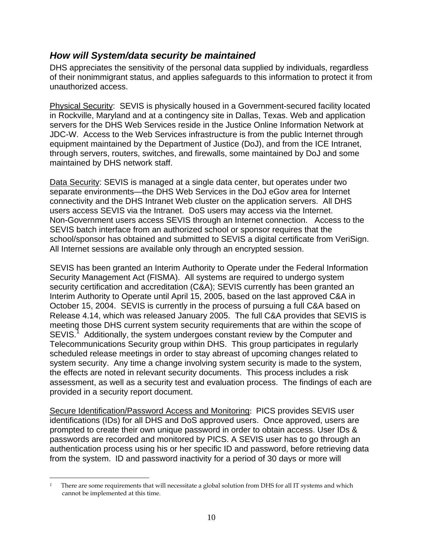### <span id="page-9-0"></span>*How will System/data security be maintained*

DHS appreciates the sensitivity of the personal data supplied by individuals, regardless of their nonimmigrant status, and applies safeguards to this information to protect it from unauthorized access.

Physical Security: SEVIS is physically housed in a Government-secured facility located in Rockville, Maryland and at a contingency site in Dallas, Texas. Web and application servers for the DHS Web Services reside in the Justice Online Information Network at JDC-W. Access to the Web Services infrastructure is from the public Internet through equipment maintained by the Department of Justice (DoJ), and from the ICE Intranet, through servers, routers, switches, and firewalls, some maintained by DoJ and some maintained by DHS network staff.

Data Security: SEVIS is managed at a single data center, but operates under two separate environments—the DHS Web Services in the DoJ eGov area for Internet connectivity and the DHS Intranet Web cluster on the application servers. All DHS users access SEVIS via the Intranet. DoS users may access via the Internet. Non-Government users access SEVIS through an Internet connection. Access to the SEVIS batch interface from an authorized school or sponsor requires that the school/sponsor has obtained and submitted to SEVIS a digital certificate from VeriSign. All Internet sessions are available only through an encrypted session.

SEVIS has been granted an Interim Authority to Operate under the Federal Information Security Management Act (FISMA). All systems are required to undergo system security certification and accreditation (C&A); SEVIS currently has been granted an Interim Authority to Operate until April 15, 2005, based on the last approved C&A in October 15, 2004. SEVIS is currently in the process of pursuing a full C&A based on Release 4.14, which was released January 2005. The full C&A provides that SEVIS is meeting those DHS current system security requirements that are within the scope of SEVIS.<sup>[1](#page-9-1)</sup> Additionally, the system undergoes constant review by the Computer and Telecommunications Security group within DHS. This group participates in regularly scheduled release meetings in order to stay abreast of upcoming changes related to system security. Any time a change involving system security is made to the system, the effects are noted in relevant security documents. This process includes a risk assessment, as well as a security test and evaluation process. The findings of each are provided in a security report document.

Secure Identification/Password Access and Monitoring: PICS provides SEVIS user identifications (IDs) for all DHS and DoS approved users. Once approved, users are prompted to create their own unique password in order to obtain access. User IDs & passwords are recorded and monitored by PICS. A SEVIS user has to go through an authentication process using his or her specific ID and password, before retrieving data from the system. ID and password inactivity for a period of 30 days or more will

 $\overline{a}$ 

<span id="page-9-1"></span>*<sup>1</sup>* There are some requirements that will necessitate a global solution from DHS for all IT systems and which cannot be implemented at this time.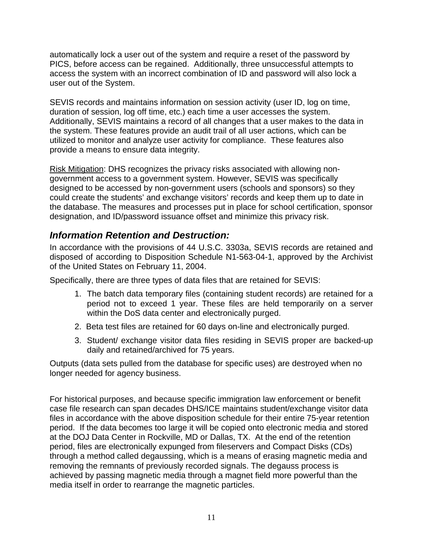<span id="page-10-0"></span>automatically lock a user out of the system and require a reset of the password by PICS, before access can be regained. Additionally, three unsuccessful attempts to access the system with an incorrect combination of ID and password will also lock a user out of the System.

SEVIS records and maintains information on session activity (user ID, log on time, duration of session, log off time, etc.) each time a user accesses the system. Additionally, SEVIS maintains a record of all changes that a user makes to the data in the system. These features provide an audit trail of all user actions, which can be utilized to monitor and analyze user activity for compliance. These features also provide a means to ensure data integrity.

Risk Mitigation: DHS recognizes the privacy risks associated with allowing nongovernment access to a government system. However, SEVIS was specifically designed to be accessed by non-government users (schools and sponsors) so they could create the students' and exchange visitors' records and keep them up to date in the database. The measures and processes put in place for school certification, sponsor designation, and ID/password issuance offset and minimize this privacy risk.

## *Information Retention and Destruction:*

In accordance with the provisions of 44 U.S.C. 3303a, SEVIS records are retained and disposed of according to Disposition Schedule N1-563-04-1, approved by the Archivist of the United States on February 11, 2004.

Specifically, there are three types of data files that are retained for SEVIS:

- 1. The batch data temporary files (containing student records) are retained for a period not to exceed 1 year. These files are held temporarily on a server within the DoS data center and electronically purged.
- 2. Beta test files are retained for 60 days on-line and electronically purged.
- 3. Student/ exchange visitor data files residing in SEVIS proper are backed-up daily and retained/archived for 75 years.

Outputs (data sets pulled from the database for specific uses) are destroyed when no longer needed for agency business.

For historical purposes, and because specific immigration law enforcement or benefit case file research can span decades DHS/ICE maintains student/exchange visitor data files in accordance with the above disposition schedule for their entire 75-year retention period. If the data becomes too large it will be copied onto electronic media and stored at the DOJ Data Center in Rockville, MD or Dallas, TX. At the end of the retention period, files are electronically expunged from fileservers and Compact Disks (CDs) through a method called degaussing, which is a means of erasing magnetic media and removing the remnants of previously recorded signals. The degauss process is achieved by passing magnetic media through a magnet field more powerful than the media itself in order to rearrange the magnetic particles.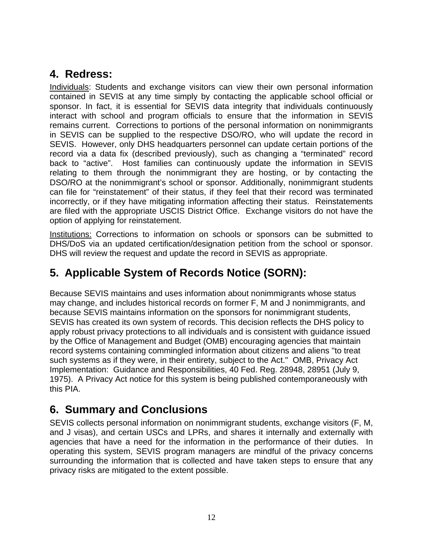## <span id="page-11-0"></span>**4. Redress:**

Individuals: Students and exchange visitors can view their own personal information contained in SEVIS at any time simply by contacting the applicable school official or sponsor. In fact, it is essential for SEVIS data integrity that individuals continuously interact with school and program officials to ensure that the information in SEVIS remains current. Corrections to portions of the personal information on nonimmigrants in SEVIS can be supplied to the respective DSO/RO, who will update the record in SEVIS. However, only DHS headquarters personnel can update certain portions of the record via a data fix (described previously), such as changing a "terminated" record back to "active". Host families can continuously update the information in SEVIS relating to them through the nonimmigrant they are hosting, or by contacting the DSO/RO at the nonimmigrant's school or sponsor. Additionally, nonimmigrant students can file for "reinstatement" of their status, if they feel that their record was terminated incorrectly, or if they have mitigating information affecting their status. Reinstatements are filed with the appropriate USCIS District Office. Exchange visitors do not have the option of applying for reinstatement.

Institutions: Corrections to information on schools or sponsors can be submitted to DHS/DoS via an updated certification/designation petition from the school or sponsor. DHS will review the request and update the record in SEVIS as appropriate.

## **5. Applicable System of Records Notice (SORN):**

Because SEVIS maintains and uses information about nonimmigrants whose status may change, and includes historical records on former F, M and J nonimmigrants, and because SEVIS maintains information on the sponsors for nonimmigrant students, SEVIS has created its own system of records. This decision reflects the DHS policy to apply robust privacy protections to all individuals and is consistent with guidance issued by the Office of Management and Budget (OMB) encouraging agencies that maintain record systems containing commingled information about citizens and aliens "to treat such systems as if they were, in their entirety, subject to the Act." OMB, Privacy Act Implementation: Guidance and Responsibilities, 40 Fed. Reg. 28948, 28951 (July 9, 1975). A Privacy Act notice for this system is being published contemporaneously with this PIA.

## **6. Summary and Conclusions**

SEVIS collects personal information on nonimmigrant students, exchange visitors (F, M, and J visas), and certain USCs and LPRs, and shares it internally and externally with agencies that have a need for the information in the performance of their duties. In operating this system, SEVIS program managers are mindful of the privacy concerns surrounding the information that is collected and have taken steps to ensure that any privacy risks are mitigated to the extent possible.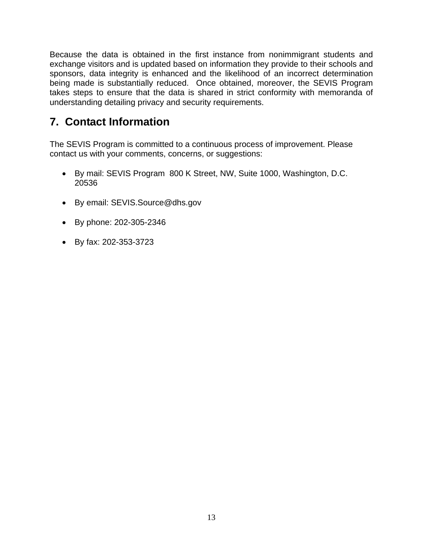<span id="page-12-0"></span>Because the data is obtained in the first instance from nonimmigrant students and exchange visitors and is updated based on information they provide to their schools and sponsors, data integrity is enhanced and the likelihood of an incorrect determination being made is substantially reduced. Once obtained, moreover, the SEVIS Program takes steps to ensure that the data is shared in strict conformity with memoranda of understanding detailing privacy and security requirements.

## **7. Contact Information**

The SEVIS Program is committed to a continuous process of improvement. Please contact us with your comments, concerns, or suggestions:

- By mail: SEVIS Program 800 K Street, NW, Suite 1000, Washington, D.C. 20536
- By email: [SEVIS.Source@dhs.gov](mailto:SEVIS.Source@dhs.gov)
- By phone: 202-305-2346
- By fax: 202-353-3723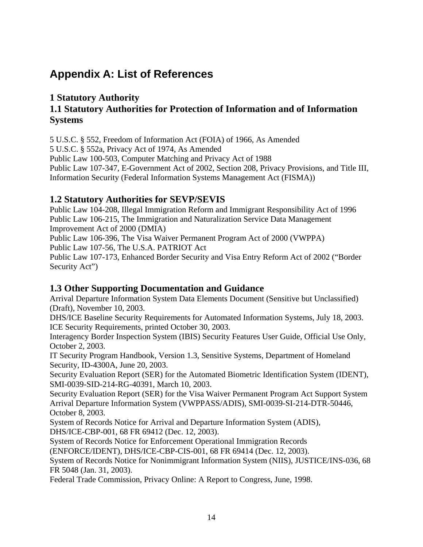## <span id="page-13-0"></span>**Appendix A: List of References**

### **1 Statutory Authority 1.1 Statutory Authorities for Protection of Information and of Information Systems**

5 U.S.C. § 552, Freedom of Information Act (FOIA) of 1966, As Amended

5 U.S.C. § 552a, Privacy Act of 1974, As Amended

Public Law 100-503, Computer Matching and Privacy Act of 1988

Public Law 107-347, E-Government Act of 2002, Section 208, Privacy Provisions, and Title III, Information Security (Federal Information Systems Management Act (FISMA))

#### **1.2 Statutory Authorities for SEVP/SEVIS**

Public Law 104-208, Illegal Immigration Reform and Immigrant Responsibility Act of 1996 Public Law 106-215, The Immigration and Naturalization Service Data Management Improvement Act of 2000 (DMIA)

Public Law 106-396, The Visa Waiver Permanent Program Act of 2000 (VWPPA) Public Law 107-56, The U.S.A. PATRIOT Act

Public Law 107-173, Enhanced Border Security and Visa Entry Reform Act of 2002 ("Border Security Act")

#### **1.3 Other Supporting Documentation and Guidance**

Arrival Departure Information System Data Elements Document (Sensitive but Unclassified) (Draft), November 10, 2003.

DHS/ICE Baseline Security Requirements for Automated Information Systems, July 18, 2003. ICE Security Requirements, printed October 30, 2003.

Interagency Border Inspection System (IBIS) Security Features User Guide, Official Use Only, October 2, 2003.

IT Security Program Handbook, Version 1.3, Sensitive Systems, Department of Homeland Security, ID-4300A, June 20, 2003.

Security Evaluation Report (SER) for the Automated Biometric Identification System (IDENT), SMI-0039-SID-214-RG-40391, March 10, 2003.

Security Evaluation Report (SER) for the Visa Waiver Permanent Program Act Support System Arrival Departure Information System (VWPPASS/ADIS), SMI-0039-SI-214-DTR-50446, October 8, 2003.

System of Records Notice for Arrival and Departure Information System (ADIS), DHS/ICE-CBP-001, 68 FR 69412 (Dec. 12, 2003).

System of Records Notice for Enforcement Operational Immigration Records

(ENFORCE/IDENT), DHS/ICE-CBP-CIS-001, 68 FR 69414 (Dec. 12, 2003).

System of Records Notice for Nonimmigrant Information System (NIIS), JUSTICE/INS-036, 68 FR 5048 (Jan. 31, 2003).

Federal Trade Commission, Privacy Online: A Report to Congress, June, 1998.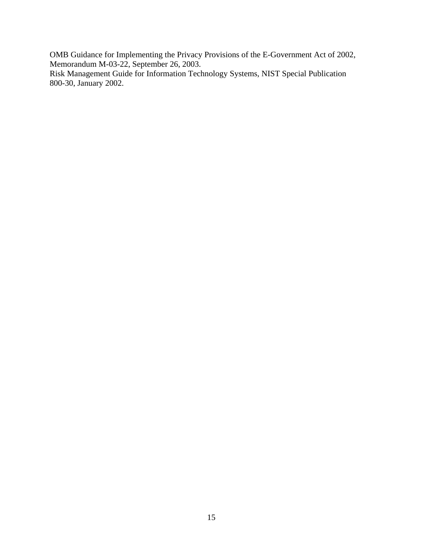OMB Guidance for Implementing the Privacy Provisions of the E-Government Act of 2002, Memorandum M-03-22, September 26, 2003.

Risk Management Guide for Information Technology Systems, NIST Special Publication 800-30, January 2002.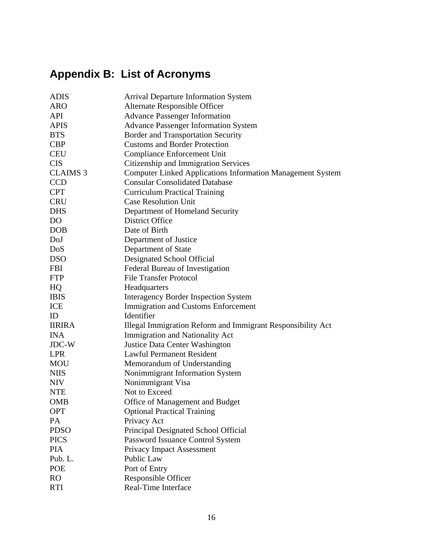# <span id="page-15-0"></span>**Appendix B: List of Acronyms**

| <b>ADIS</b>     | <b>Arrival Departure Information System</b>                       |
|-----------------|-------------------------------------------------------------------|
| <b>ARO</b>      | Alternate Responsible Officer                                     |
| <b>API</b>      | <b>Advance Passenger Information</b>                              |
| <b>APIS</b>     | <b>Advance Passenger Information System</b>                       |
| <b>BTS</b>      | <b>Border and Transportation Security</b>                         |
| <b>CBP</b>      | <b>Customs and Border Protection</b>                              |
| <b>CEU</b>      | <b>Compliance Enforcement Unit</b>                                |
| <b>CIS</b>      | Citizenship and Immigration Services                              |
| <b>CLAIMS 3</b> | <b>Computer Linked Applications Information Management System</b> |
| <b>CCD</b>      | <b>Consular Consolidated Database</b>                             |
| <b>CPT</b>      | <b>Curriculum Practical Training</b>                              |
| <b>CRU</b>      | <b>Case Resolution Unit</b>                                       |
| <b>DHS</b>      | Department of Homeland Security                                   |
| D <sub>O</sub>  | <b>District Office</b>                                            |
| <b>DOB</b>      | Date of Birth                                                     |
| DoJ             | Department of Justice                                             |
| <b>DoS</b>      | Department of State                                               |
| <b>DSO</b>      | Designated School Official                                        |
| <b>FBI</b>      | Federal Bureau of Investigation                                   |
| <b>FTP</b>      | <b>File Transfer Protocol</b>                                     |
| HQ              | Headquarters                                                      |
| <b>IBIS</b>     | <b>Interagency Border Inspection System</b>                       |
| ICE             | <b>Immigration and Customs Enforcement</b>                        |
| ID              | Identifier                                                        |
| <b>IIRIRA</b>   | Illegal Immigration Reform and Immigrant Responsibility Act       |
| <b>INA</b>      | Immigration and Nationality Act                                   |
| JDC-W           | Justice Data Center Washington                                    |
| <b>LPR</b>      | <b>Lawful Permanent Resident</b>                                  |
| <b>MOU</b>      | Memorandum of Understanding                                       |
| <b>NIIS</b>     | Nonimmigrant Information System                                   |
| <b>NIV</b>      | Nonimmigrant Visa                                                 |
| <b>NTE</b>      | Not to Exceed                                                     |
| <b>OMB</b>      | Office of Management and Budget                                   |
| <b>OPT</b>      | <b>Optional Practical Training</b>                                |
| PA              | Privacy Act                                                       |
| <b>PDSO</b>     | Principal Designated School Official                              |
| <b>PICS</b>     | Password Issuance Control System                                  |
| <b>PIA</b>      | <b>Privacy Impact Assessment</b>                                  |
| Pub. L.         | Public Law                                                        |
| POE             | Port of Entry                                                     |
| R <sub>O</sub>  | Responsible Officer                                               |
| <b>RTI</b>      | Real-Time Interface                                               |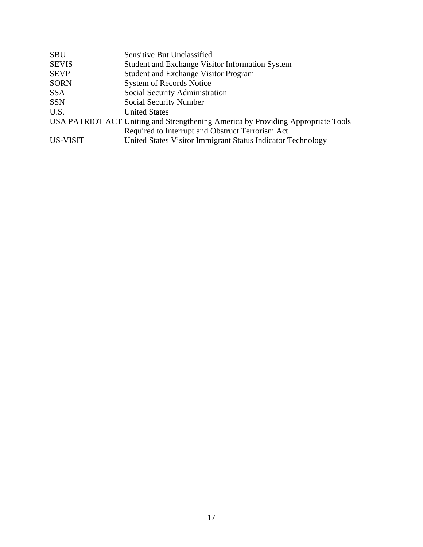| <b>Sensitive But Unclassified</b>                                                |
|----------------------------------------------------------------------------------|
| Student and Exchange Visitor Information System                                  |
| <b>Student and Exchange Visitor Program</b>                                      |
| <b>System of Records Notice</b>                                                  |
| Social Security Administration                                                   |
| Social Security Number                                                           |
| <b>United States</b>                                                             |
| USA PATRIOT ACT Uniting and Strengthening America by Providing Appropriate Tools |
| Required to Interrupt and Obstruct Terrorism Act                                 |
| United States Visitor Immigrant Status Indicator Technology                      |
|                                                                                  |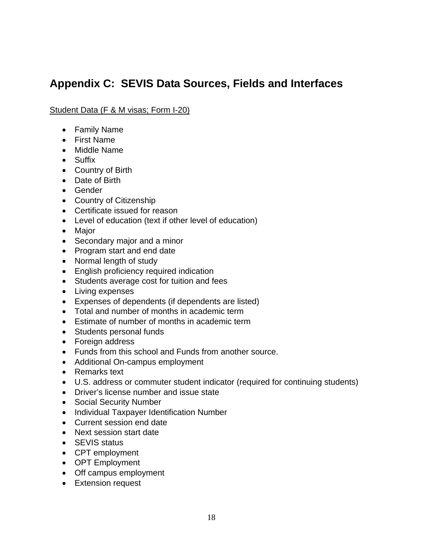## <span id="page-17-0"></span>**Appendix C: SEVIS Data Sources, Fields and Interfaces**

#### Student Data (F & M visas; Form I-20)

- Family Name
- First Name
- Middle Name
- Suffix
- Country of Birth
- Date of Birth
- Gender
- Country of Citizenship
- Certificate issued for reason
- Level of education (text if other level of education)
- Major
- Secondary major and a minor
- Program start and end date
- Normal length of study
- English proficiency required indication
- Students average cost for tuition and fees
- Living expenses
- Expenses of dependents (if dependents are listed)
- Total and number of months in academic term
- Estimate of number of months in academic term
- Students personal funds
- Foreign address
- Funds from this school and Funds from another source.
- Additional On-campus employment
- Remarks text
- U.S. address or commuter student indicator (required for continuing students)
- Driver's license number and issue state
- Social Security Number
- Individual Taxpayer Identification Number
- Current session end date
- Next session start date
- SEVIS status
- CPT employment
- OPT Employment
- Off campus employment
- Extension request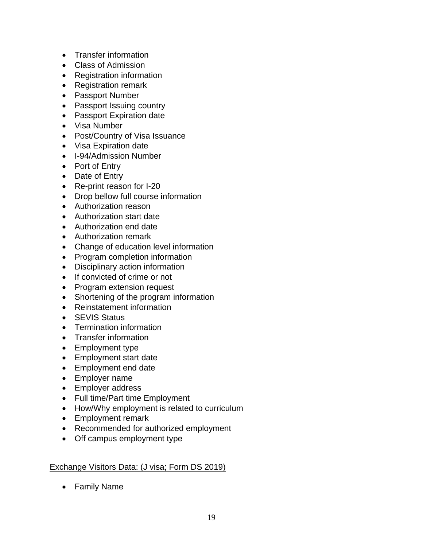- Transfer information
- Class of Admission
- Registration information
- Registration remark
- Passport Number
- Passport Issuing country
- Passport Expiration date
- Visa Number
- Post/Country of Visa Issuance
- Visa Expiration date
- I-94/Admission Number
- Port of Entry
- Date of Entry
- Re-print reason for I-20
- Drop bellow full course information
- Authorization reason
- Authorization start date
- Authorization end date
- Authorization remark
- Change of education level information
- Program completion information
- Disciplinary action information
- If convicted of crime or not
- Program extension request
- Shortening of the program information
- Reinstatement information
- SEVIS Status
- Termination information
- Transfer information
- Employment type
- Employment start date
- Employment end date
- Employer name
- Employer address
- Full time/Part time Employment
- How/Why employment is related to curriculum
- Employment remark
- Recommended for authorized employment
- Off campus employment type

#### Exchange Visitors Data: (J visa; Form DS 2019)

• Family Name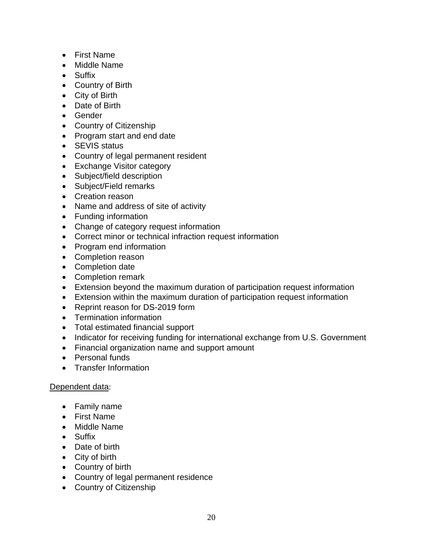- First Name
- Middle Name
- Suffix
- Country of Birth
- City of Birth
- Date of Birth
- Gender
- Country of Citizenship
- Program start and end date
- SEVIS status
- Country of legal permanent resident
- Exchange Visitor category
- Subject/field description
- Subject/Field remarks
- Creation reason
- Name and address of site of activity
- Funding information
- Change of category request information
- Correct minor or technical infraction request information
- Program end information
- Completion reason
- Completion date
- Completion remark
- Extension beyond the maximum duration of participation request information
- Extension within the maximum duration of participation request information
- Reprint reason for DS-2019 form
- Termination information
- Total estimated financial support
- Indicator for receiving funding for international exchange from U.S. Government
- Financial organization name and support amount
- Personal funds
- Transfer Information

#### Dependent data:

- Family name
- First Name
- Middle Name
- Suffix
- Date of birth
- City of birth
- Country of birth
- Country of legal permanent residence
- Country of Citizenship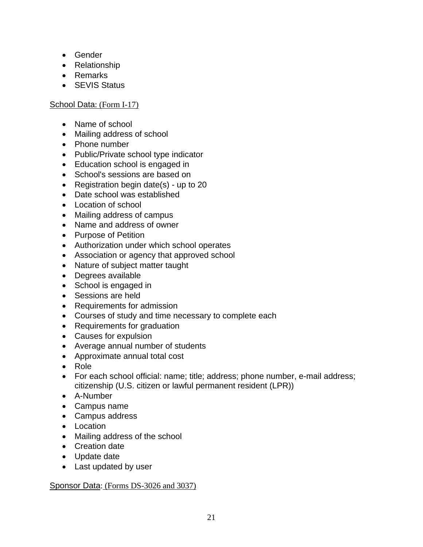- Gender
- Relationship
- Remarks
- SEVIS Status

#### School Data: (Form I-17)

- Name of school
- Mailing address of school
- Phone number
- Public/Private school type indicator
- Education school is engaged in
- School's sessions are based on
- Registration begin date(s) up to 20
- Date school was established
- Location of school
- Mailing address of campus
- Name and address of owner
- Purpose of Petition
- Authorization under which school operates
- Association or agency that approved school
- Nature of subject matter taught
- Degrees available
- School is engaged in
- Sessions are held
- Requirements for admission
- Courses of study and time necessary to complete each
- Requirements for graduation
- Causes for expulsion
- Average annual number of students
- Approximate annual total cost
- Role
- For each school official: name; title; address; phone number, e-mail address; citizenship (U.S. citizen or lawful permanent resident (LPR))
- A-Number
- Campus name
- Campus address
- Location
- Mailing address of the school
- Creation date
- Update date
- Last updated by user

#### Sponsor Data: (Forms DS-3026 and 3037)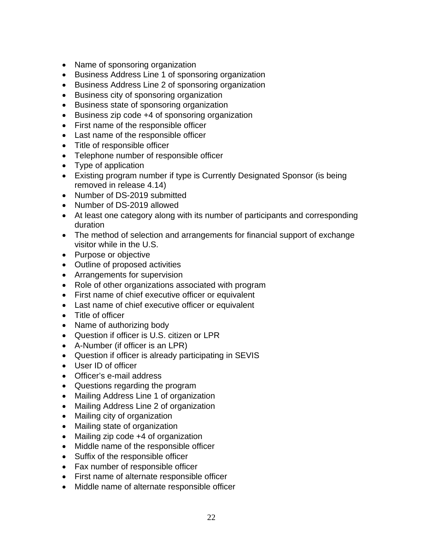- Name of sponsoring organization
- Business Address Line 1 of sponsoring organization
- Business Address Line 2 of sponsoring organization
- Business city of sponsoring organization
- Business state of sponsoring organization
- Business zip code +4 of sponsoring organization
- First name of the responsible officer
- Last name of the responsible officer
- Title of responsible officer
- Telephone number of responsible officer
- Type of application
- Existing program number if type is Currently Designated Sponsor (is being removed in release 4.14)
- Number of DS-2019 submitted
- Number of DS-2019 allowed
- At least one category along with its number of participants and corresponding duration
- The method of selection and arrangements for financial support of exchange visitor while in the U.S.
- Purpose or objective
- Outline of proposed activities
- Arrangements for supervision
- Role of other organizations associated with program
- First name of chief executive officer or equivalent
- Last name of chief executive officer or equivalent
- Title of officer
- Name of authorizing body
- Question if officer is U.S. citizen or LPR
- A-Number (if officer is an LPR)
- Question if officer is already participating in SEVIS
- User ID of officer
- Officer's e-mail address
- Questions regarding the program
- Mailing Address Line 1 of organization
- Mailing Address Line 2 of organization
- Mailing city of organization
- Mailing state of organization
- Mailing zip code +4 of organization
- Middle name of the responsible officer
- Suffix of the responsible officer
- Fax number of responsible officer
- First name of alternate responsible officer
- Middle name of alternate responsible officer